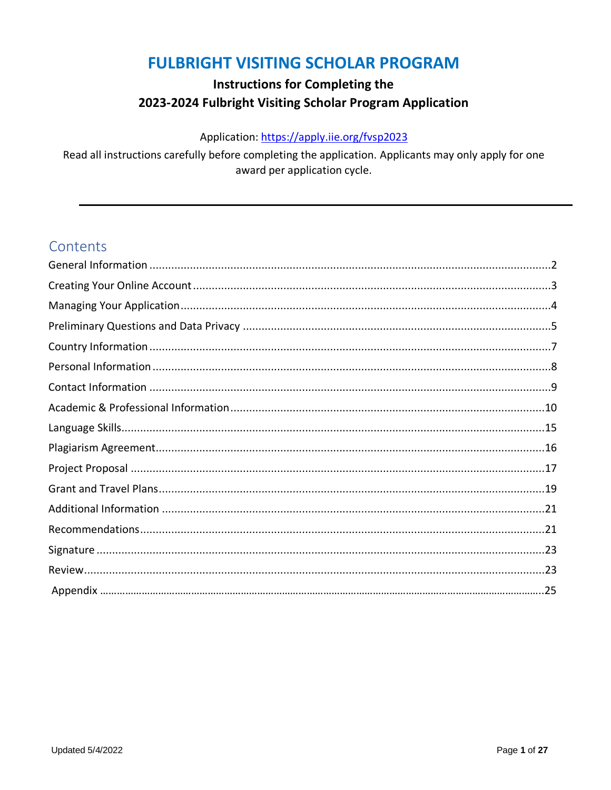### **FULBRIGHT VISITING SCHOLAR PROGRAM**

### **Instructions for Completing the** 2023-2024 Fulbright Visiting Scholar Program Application

### Application: https://apply.iie.org/fvsp2023

Read all instructions carefully before completing the application. Applicants may only apply for one award per application cycle.

### Contents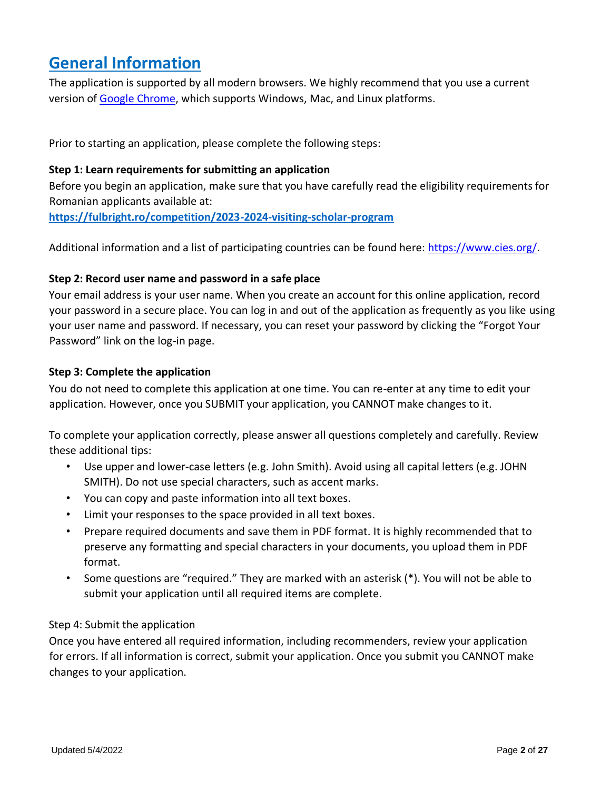## <span id="page-1-0"></span>**General Information**

The application is supported by all modern browsers. We highly recommend that you use a current version of [Google Chrome,](https://www.google.com/chrome/) which supports Windows, Mac, and Linux platforms.

Prior to starting an application, please complete the following steps:

### **Step 1: Learn requirements for submitting an application**

Before you begin an application, make sure that you have carefully read the eligibility requirements for Romanian applicants available at:

**<https://fulbright.ro/competition/2023-2024-visiting-scholar-program>**

Additional information and a list of participating countries can be found here: [https://www.cies.org/.](https://www.cies.org/) 

### **Step 2: Record user name and password in a safe place**

Your email address is your user name. When you create an account for this online application, record your password in a secure place. You can log in and out of the application as frequently as you like using your user name and password. If necessary, you can reset your password by clicking the "Forgot Your Password" link on the log-in page.

### **Step 3: Complete the application**

You do not need to complete this application at one time. You can re-enter at any time to edit your application. However, once you SUBMIT your application, you CANNOT make changes to it.

To complete your application correctly, please answer all questions completely and carefully. Review these additional tips:

- Use upper and lower-case letters (e.g. John Smith). Avoid using all capital letters (e.g. JOHN SMITH). Do not use special characters, such as accent marks.
- You can copy and paste information into all text boxes.
- Limit your responses to the space provided in all text boxes.
- Prepare required documents and save them in PDF format. It is highly recommended that to preserve any formatting and special characters in your documents, you upload them in PDF format.
- Some questions are "required." They are marked with an asterisk (\*). You will not be able to submit your application until all required items are complete.

### Step 4: Submit the application

Once you have entered all required information, including recommenders, review your application for errors. If all information is correct, submit your application. Once you submit you CANNOT make changes to your application.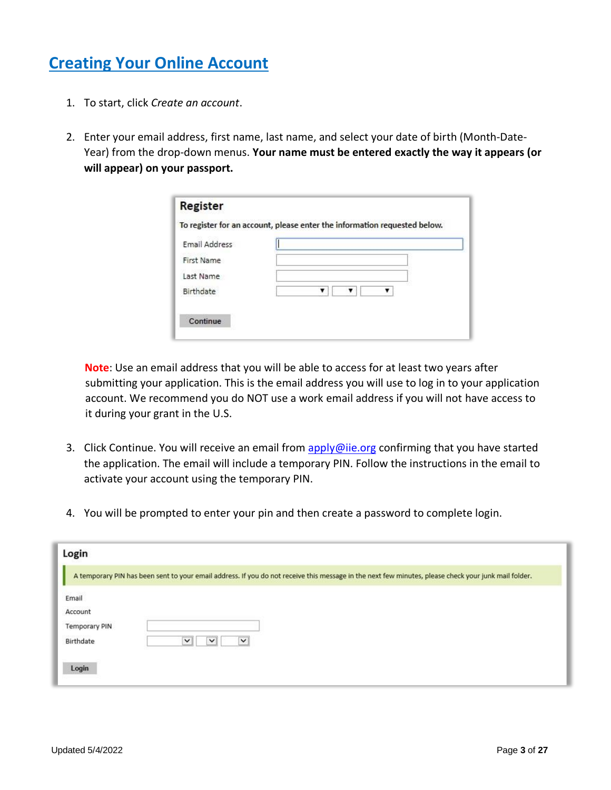# <span id="page-2-0"></span>**Creating Your Online Account**

- 1. To start, click *Create an account*.
- 2. Enter your email address, first name, last name, and select your date of birth (Month-Date-Year) from the drop-down menus. **Your name must be entered exactly the way it appears (or will appear) on your passport.**

| <b>Email Address</b> |   |
|----------------------|---|
| First Name           |   |
| Last Name            |   |
| Birthdate            | ▼ |

**Note**: Use an email address that you will be able to access for at least two years after submitting your application. This is the email address you will use to log in to your application account. We recommend you do NOT use a work email address if you will not have access to it during your grant in the U.S.

- 3. Click Continue. You will receive an email from apply@iie.org confirming that you have started the application. The email will include a temporary PIN. Follow the instructions in the email to activate your account using the temporary PIN.
- 4. You will be prompted to enter your pin and then create a password to complete login.

| Login                                                          |                                                                                                                                                      |
|----------------------------------------------------------------|------------------------------------------------------------------------------------------------------------------------------------------------------|
|                                                                | A temporary PIN has been sent to your email address. If you do not receive this message in the next few minutes, please check your junk mail folder. |
| Email<br>Account<br><b>Temporary PIN</b><br>Birthdate<br>Login | v<br>$\check{ }$<br>$\checkmark$                                                                                                                     |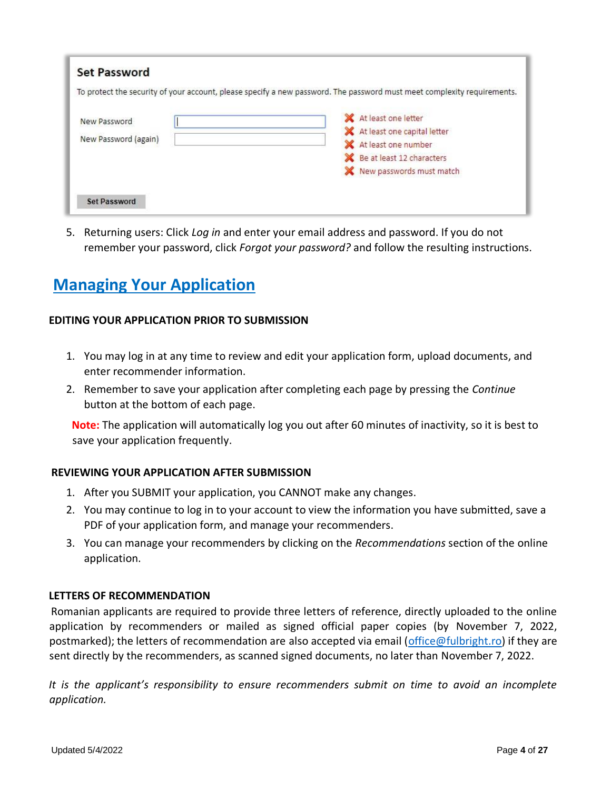|                      |  | To protect the security of your account, please specify a new password. The password must meet complexity requirements. |
|----------------------|--|-------------------------------------------------------------------------------------------------------------------------|
| New Password         |  | X At least one letter                                                                                                   |
|                      |  | At least one capital letter                                                                                             |
| New Password (again) |  | At least one number                                                                                                     |
|                      |  | Be at least 12 characters                                                                                               |
|                      |  | New passwords must match                                                                                                |
|                      |  |                                                                                                                         |
| <b>Set Password</b>  |  |                                                                                                                         |

5. Returning users: Click *Log in* and enter your email address and password. If you do not remember your password, click *Forgot your password?* and follow the resulting instructions.

# <span id="page-3-0"></span>**Managing Your Application**

### **EDITING YOUR APPLICATION PRIOR TO SUBMISSION**

- 1. You may log in at any time to review and edit your application form, upload documents, and enter recommender information.
- 2. Remember to save your application after completing each page by pressing the *Continue* button at the bottom of each page.

**Note:** The application will automatically log you out after 60 minutes of inactivity, so it is best to save your application frequently.

#### **REVIEWING YOUR APPLICATION AFTER SUBMISSION**

- 1. After you SUBMIT your application, you CANNOT make any changes.
- 2. You may continue to log in to your account to view the information you have submitted, save a PDF of your application form, and manage your recommenders.
- 3. You can manage your recommenders by clicking on the *Recommendations* section of the online application.

#### **LETTERS OF RECOMMENDATION**

Romanian applicants are required to provide three letters of reference, directly uploaded to the online application by recommenders or mailed as signed official paper copies (by November 7, 2022, postmarked); the letters of recommendation are also accepted via email [\(office@fulbright.ro\)](mailto:office@fulbright.ro) if they are sent directly by the recommenders, as scanned signed documents, no later than November 7, 2022.

*It is the applicant's responsibility to ensure recommenders submit on time to avoid an incomplete application.*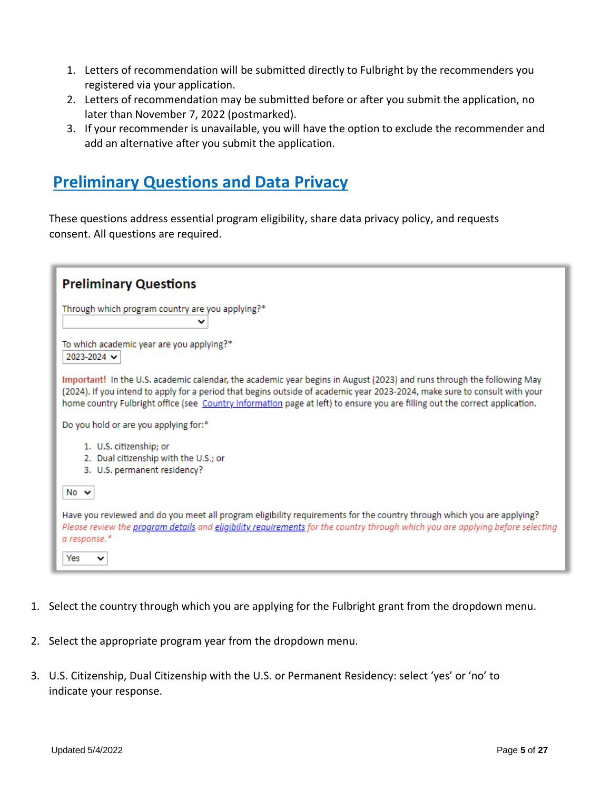- 1. Letters of recommendation will be submitted directly to Fulbright by the recommenders you registered via your application.
- 2. Letters of recommendation may be submitted before or after you submit the application, no later than November 7, 2022 (postmarked).
- 3. If your recommender is unavailable, you will have the option to exclude the recommender and add an alternative after you submit the application.

### <span id="page-4-0"></span>**Preliminary Questions and Data Privacy**

These questions address essential program eligibility, share data privacy policy, and requests consent. All questions are required.

| <b>Preliminary Questions</b>                                                                                                                                                                                                                                                                                                                                                        |
|-------------------------------------------------------------------------------------------------------------------------------------------------------------------------------------------------------------------------------------------------------------------------------------------------------------------------------------------------------------------------------------|
| Through which program country are you applying?*                                                                                                                                                                                                                                                                                                                                    |
| To which academic year are you applying?*<br>2023-2024 →                                                                                                                                                                                                                                                                                                                            |
| Important! In the U.S. academic calendar, the academic year begins in August (2023) and runs through the following May<br>(2024). If you intend to apply for a period that begins outside of academic year 2023-2024, make sure to consult with your<br>home country Fulbright office (see Country Information page at left) to ensure you are filling out the correct application. |
| Do you hold or are you applying for:*                                                                                                                                                                                                                                                                                                                                               |
| 1. U.S. citizenship; or<br>2. Dual citizenship with the U.S.; or<br>3. U.S. permanent residency?                                                                                                                                                                                                                                                                                    |
| No $\sim$                                                                                                                                                                                                                                                                                                                                                                           |
| Have you reviewed and do you meet all program eligibility requirements for the country through which you are applying?<br>Please review the <i>program details</i> and <i>eligibility requirements</i> for the country through which you are applying before selecting<br>a response.*                                                                                              |
| Yes                                                                                                                                                                                                                                                                                                                                                                                 |

- 1. Select the country through which you are applying for the Fulbright grant from the dropdown menu.
- 2. Select the appropriate program year from the dropdown menu.
- 3. U.S. Citizenship, Dual Citizenship with the U.S. or Permanent Residency: select 'yes' or 'no' to indicate your response.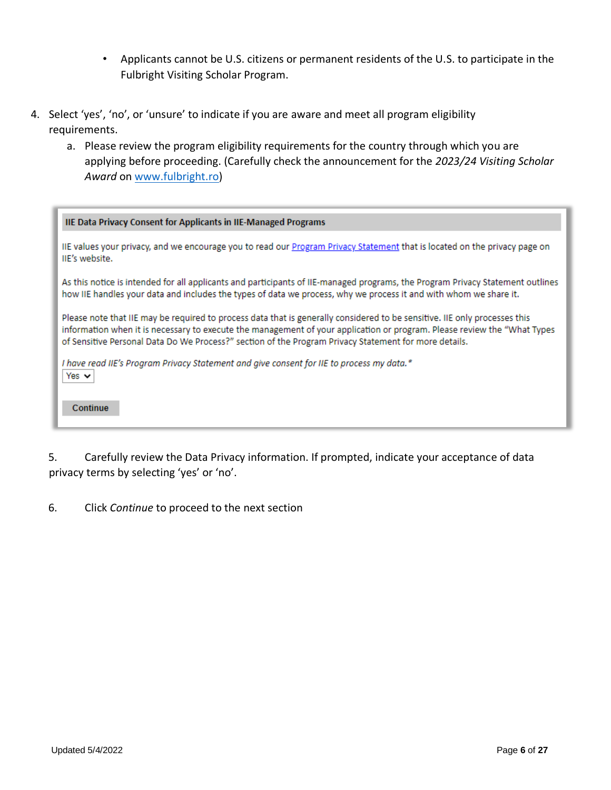- Applicants cannot be U.S. citizens or permanent residents of the U.S. to participate in the Fulbright Visiting Scholar Program.
- 4. Select 'yes', 'no', or 'unsure' to indicate if you are aware and meet all program eligibility requirements.
	- a. Please review the program eligibility requirements for the country through which you are applying before proceeding. (Carefully check the announcement for the *2023/24 Visiting Scholar Award* on [www.fulbright.ro\)](http://www.fulbright.ro/)

| <b>IIE Data Privacy Consent for Applicants in IIE-Managed Programs</b>                                                                                                                                                                                                                                                                                          |
|-----------------------------------------------------------------------------------------------------------------------------------------------------------------------------------------------------------------------------------------------------------------------------------------------------------------------------------------------------------------|
| IIE values your privacy, and we encourage you to read our Program Privacy Statement that is located on the privacy page on<br>IIE's website.                                                                                                                                                                                                                    |
| As this notice is intended for all applicants and participants of IIE-managed programs, the Program Privacy Statement outlines<br>how IIE handles your data and includes the types of data we process, why we process it and with whom we share it.                                                                                                             |
| Please note that IIE may be required to process data that is generally considered to be sensitive. IIE only processes this<br>information when it is necessary to execute the management of your application or program. Please review the "What Types<br>of Sensitive Personal Data Do We Process?" section of the Program Privacy Statement for more details. |
| I have read IIE's Program Privacy Statement and give consent for IIE to process my data.*<br>Yes $\vee$                                                                                                                                                                                                                                                         |
| Continue                                                                                                                                                                                                                                                                                                                                                        |

5. Carefully review the Data Privacy information. If prompted, indicate your acceptance of data privacy terms by selecting 'yes' or 'no'.

6. Click *Continue* to proceed to the next section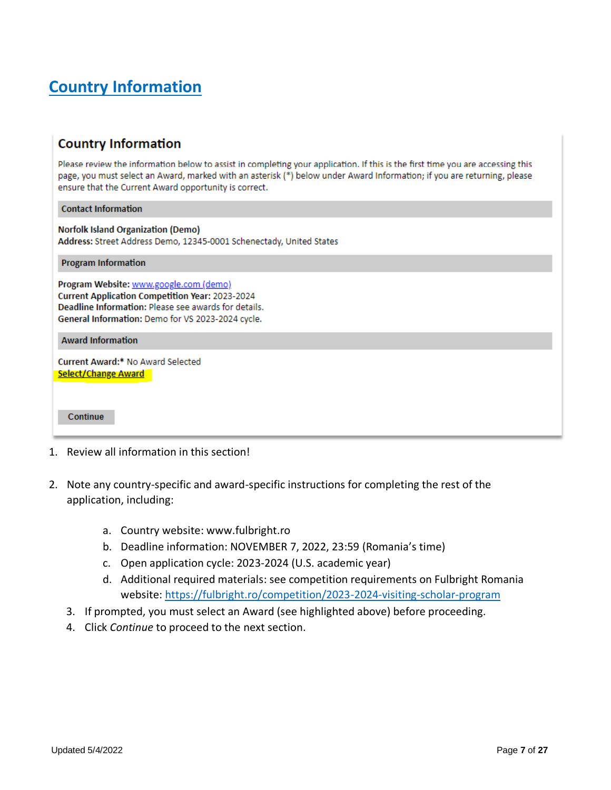# <span id="page-6-0"></span>**Country Information**

### **Country Information**

Please review the information below to assist in completing your application. If this is the first time you are accessing this page, you must select an Award, marked with an asterisk (\*) below under Award Information; if you are returning, please ensure that the Current Award opportunity is correct.

**Contact Information** 

**Norfolk Island Organization (Demo)** Address: Street Address Demo, 12345-0001 Schenectady, United States

**Program Information** 

Program Website: www.google.com (demo) **Current Application Competition Year: 2023-2024** Deadline Information: Please see awards for details. General Information: Demo for VS 2023-2024 cycle.

**Award Information** 

Current Award:\* No Award Selected Select/Change Award

Continue

- 1. Review all information in this section!
- 2. Note any country-specific and award-specific instructions for completing the rest of the application, including:
	- a. Country website: www.fulbright.ro
	- b. Deadline information: NOVEMBER 7, 2022, 23:59 (Romania's time)
	- c. Open application cycle: 2023-2024 (U.S. academic year)
	- d. Additional required materials: see competition requirements on Fulbright Romania website: <https://fulbright.ro/competition/2023-2024-visiting-scholar-program>
	- 3. If prompted, you must select an Award (see highlighted above) before proceeding.
	- 4. Click *Continue* to proceed to the next section.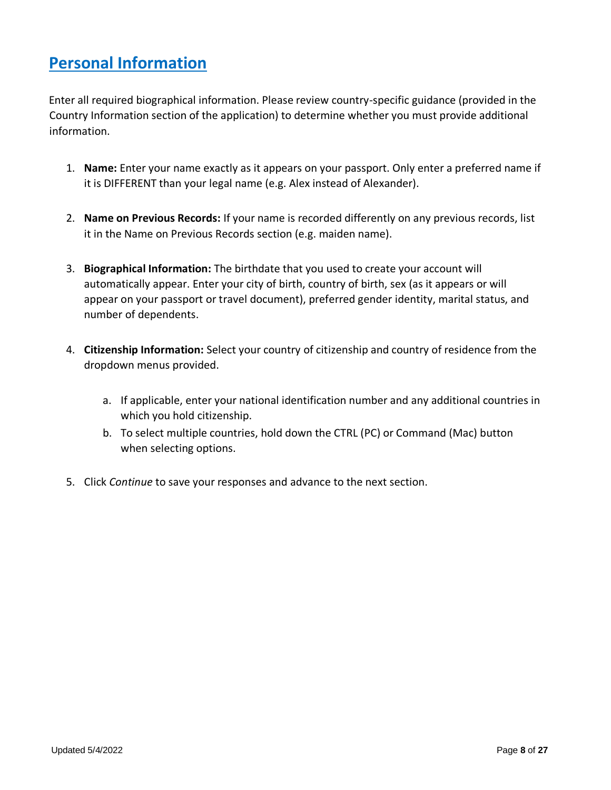# <span id="page-7-0"></span>**Personal Information**

Enter all required biographical information. Please review country-specific guidance (provided in the Country Information section of the application) to determine whether you must provide additional information.

- 1. **Name:** Enter your name exactly as it appears on your passport. Only enter a preferred name if it is DIFFERENT than your legal name (e.g. Alex instead of Alexander).
- 2. **Name on Previous Records:** If your name is recorded differently on any previous records, list it in the Name on Previous Records section (e.g. maiden name).
- 3. **Biographical Information:** The birthdate that you used to create your account will automatically appear. Enter your city of birth, country of birth, sex (as it appears or will appear on your passport or travel document), preferred gender identity, marital status, and number of dependents.
- 4. **Citizenship Information:** Select your country of citizenship and country of residence from the dropdown menus provided.
	- a. If applicable, enter your national identification number and any additional countries in which you hold citizenship.
	- b. To select multiple countries, hold down the CTRL (PC) or Command (Mac) button when selecting options.
- 5. Click *Continue* to save your responses and advance to the next section.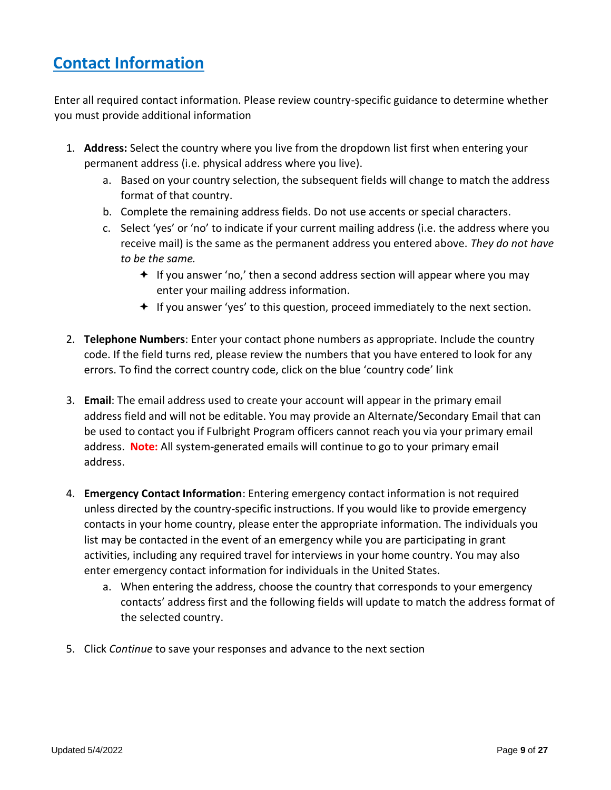# <span id="page-8-0"></span>**Contact Information**

Enter all required contact information. Please review country-specific guidance to determine whether you must provide additional information

- 1. **Address:** Select the country where you live from the dropdown list first when entering your permanent address (i.e. physical address where you live).
	- a. Based on your country selection, the subsequent fields will change to match the address format of that country.
	- b. Complete the remaining address fields. Do not use accents or special characters.
	- c. Select 'yes' or 'no' to indicate if your current mailing address (i.e. the address where you receive mail) is the same as the permanent address you entered above. *They do not have to be the same.* 
		- $\div$  If you answer 'no,' then a second address section will appear where you may enter your mailing address information.
		- $\div$  If you answer 'yes' to this question, proceed immediately to the next section.
- 2. **Telephone Numbers**: Enter your contact phone numbers as appropriate. Include the country code. If the field turns red, please review the numbers that you have entered to look for any errors. To find the correct country code, click on the blue 'country code' link
- 3. **Email**: The email address used to create your account will appear in the primary email address field and will not be editable. You may provide an Alternate/Secondary Email that can be used to contact you if Fulbright Program officers cannot reach you via your primary email address. **Note:** All system-generated emails will continue to go to your primary email address.
- 4. **Emergency Contact Information**: Entering emergency contact information is not required unless directed by the country-specific instructions. If you would like to provide emergency contacts in your home country, please enter the appropriate information. The individuals you list may be contacted in the event of an emergency while you are participating in grant activities, including any required travel for interviews in your home country. You may also enter emergency contact information for individuals in the United States.
	- a. When entering the address, choose the country that corresponds to your emergency contacts' address first and the following fields will update to match the address format of the selected country.
- 5. Click *Continue* to save your responses and advance to the next section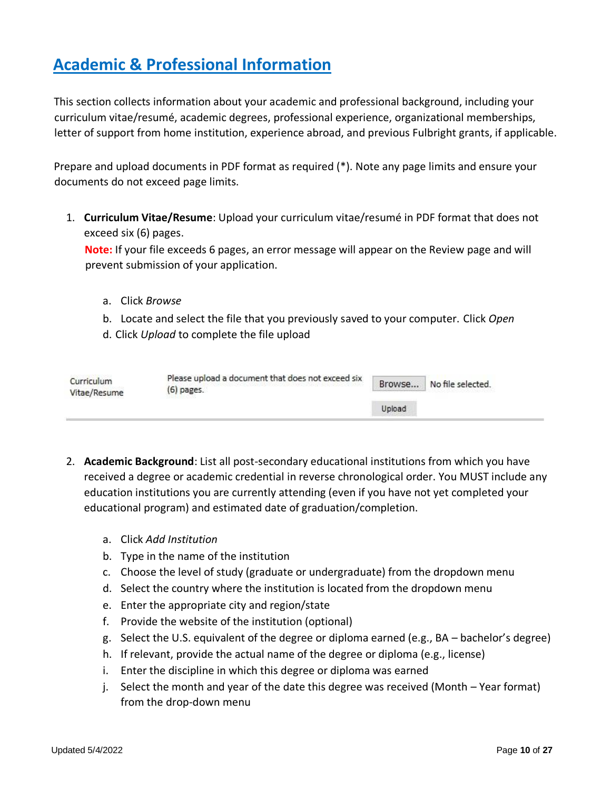# <span id="page-9-0"></span>**Academic & Professional Information**

This section collects information about your academic and professional background, including your curriculum vitae/resumé, academic degrees, professional experience, organizational memberships, letter of support from home institution, experience abroad, and previous Fulbright grants, if applicable.

Prepare and upload documents in PDF format as required (\*). Note any page limits and ensure your documents do not exceed page limits.

1. **Curriculum Vitae/Resume**: Upload your curriculum vitae/resumé in PDF format that does not exceed six (6) pages.

**Note:** If your file exceeds 6 pages, an error message will appear on the Review page and will prevent submission of your application.

- a. Click *Browse*
- b. Locate and select the file that you previously saved to your computer. Click *Open*
- d. Click *Upload* to complete the file upload

| Curriculum<br>Vitae/Resume | Please upload a document that does not exceed six<br>$(6)$ pages. | Browse | No file selected. |
|----------------------------|-------------------------------------------------------------------|--------|-------------------|
|                            |                                                                   | Upload |                   |

- 2. **Academic Background**: List all post-secondary educational institutions from which you have received a degree or academic credential in reverse chronological order. You MUST include any education institutions you are currently attending (even if you have not yet completed your educational program) and estimated date of graduation/completion.
	- a. Click *Add Institution*
	- b. Type in the name of the institution
	- c. Choose the level of study (graduate or undergraduate) from the dropdown menu
	- d. Select the country where the institution is located from the dropdown menu
	- e. Enter the appropriate city and region/state
	- f. Provide the website of the institution (optional)
	- g. Select the U.S. equivalent of the degree or diploma earned (e.g., BA bachelor's degree)
	- h. If relevant, provide the actual name of the degree or diploma (e.g., license)
	- i. Enter the discipline in which this degree or diploma was earned
	- j. Select the month and year of the date this degree was received (Month Year format) from the drop-down menu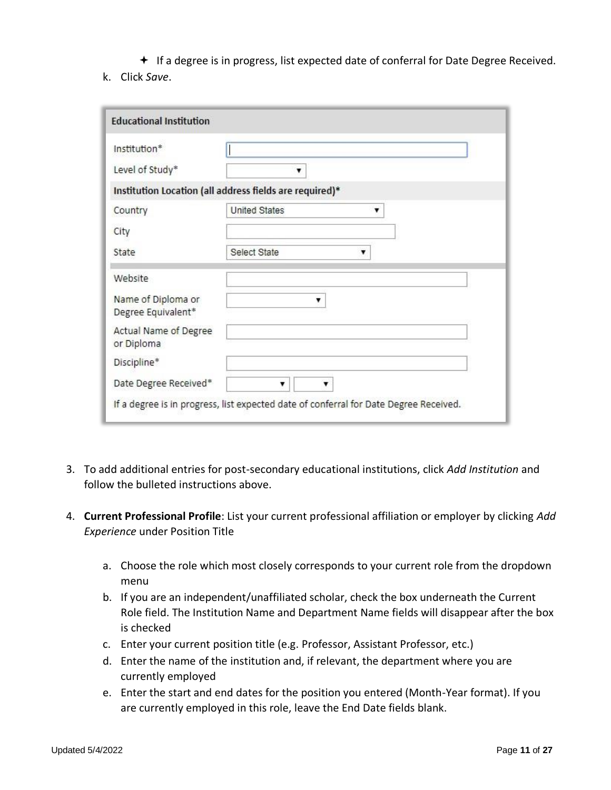$\bigstar$  If a degree is in progress, list expected date of conferral for Date Degree Received.

k. Click *Save*.

| Institution*                             |                                                         |  |
|------------------------------------------|---------------------------------------------------------|--|
| Level of Study*                          |                                                         |  |
|                                          | Institution Location (all address fields are required)* |  |
| Country                                  | <b>United States</b><br>▼                               |  |
| City                                     |                                                         |  |
| State                                    | Select State<br>▼                                       |  |
| Website                                  |                                                         |  |
| Name of Diploma or<br>Degree Equivalent* |                                                         |  |
| Actual Name of Degree<br>or Diploma      |                                                         |  |
| Discipline*                              |                                                         |  |
| Date Degree Received*                    | ▼                                                       |  |

- 3. To add additional entries for post-secondary educational institutions, click *Add Institution* and follow the bulleted instructions above.
- 4. **Current Professional Profile**: List your current professional affiliation or employer by clicking *Add Experience* under Position Title
	- a. Choose the role which most closely corresponds to your current role from the dropdown menu
	- b. If you are an independent/unaffiliated scholar, check the box underneath the Current Role field. The Institution Name and Department Name fields will disappear after the box is checked
	- c. Enter your current position title (e.g. Professor, Assistant Professor, etc.)
	- d. Enter the name of the institution and, if relevant, the department where you are currently employed
	- e. Enter the start and end dates for the position you entered (Month-Year format). If you are currently employed in this role, leave the End Date fields blank.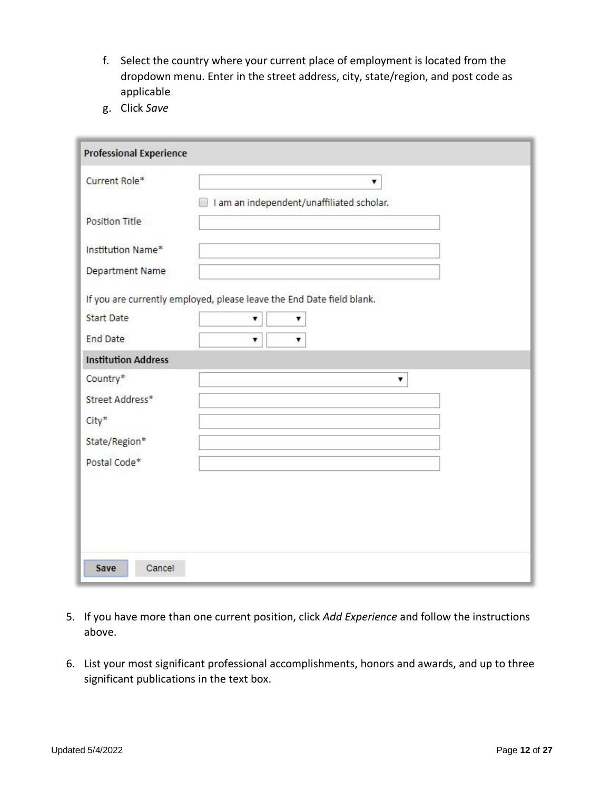- f. Select the country where your current place of employment is located from the dropdown menu. Enter in the street address, city, state/region, and post code as applicable
- g. Click *Save*

| <b>Professional Experience</b> |                                                                       |
|--------------------------------|-----------------------------------------------------------------------|
| Current Role*                  | ۷                                                                     |
|                                | I am an independent/unaffiliated scholar.                             |
| Position Title                 |                                                                       |
| Institution Name*              |                                                                       |
| Department Name                |                                                                       |
|                                | If you are currently employed, please leave the End Date field blank. |
| <b>Start Date</b>              | ۳<br>v                                                                |
| <b>End Date</b>                | ۷<br>۷                                                                |
| <b>Institution Address</b>     |                                                                       |
| Country*                       | ۷                                                                     |
| Street Address*                |                                                                       |
| City*                          |                                                                       |
| State/Region*                  |                                                                       |
| Postal Code*                   |                                                                       |
|                                |                                                                       |
|                                |                                                                       |
|                                |                                                                       |
|                                |                                                                       |
| Cancel<br>Save                 |                                                                       |

- 5. If you have more than one current position, click *Add Experience* and follow the instructions above.
- 6. List your most significant professional accomplishments, honors and awards, and up to three significant publications in the text box.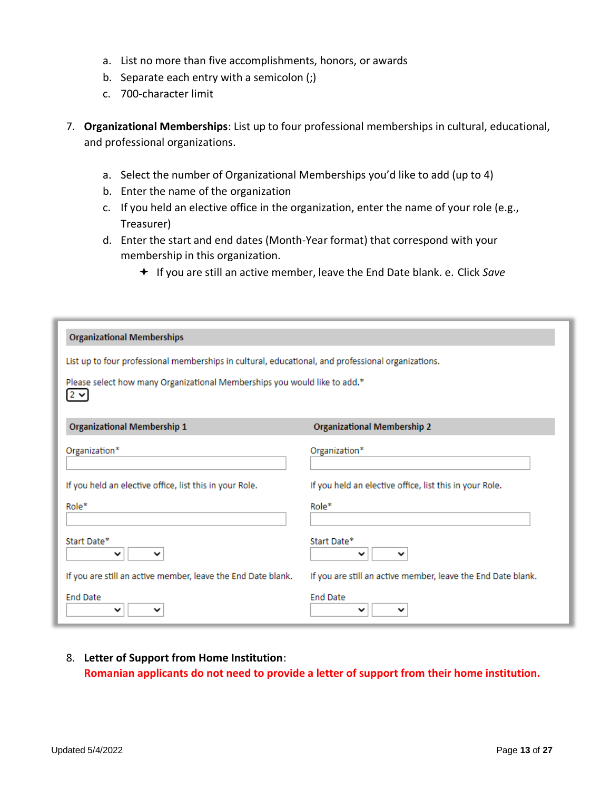- a. List no more than five accomplishments, honors, or awards
- b. Separate each entry with a semicolon (;)
- c. 700-character limit
- 7. **Organizational Memberships**: List up to four professional memberships in cultural, educational, and professional organizations.
	- a. Select the number of Organizational Memberships you'd like to add (up to 4)
	- b. Enter the name of the organization
	- c. If you held an elective office in the organization, enter the name of your role (e.g., Treasurer)
	- d. Enter the start and end dates (Month-Year format) that correspond with your membership in this organization.
		- If you are still an active member, leave the End Date blank. e. Click *Save*

| <b>Organizational Memberships</b>                                                                  |                                                              |  |
|----------------------------------------------------------------------------------------------------|--------------------------------------------------------------|--|
| List up to four professional memberships in cultural, educational, and professional organizations. |                                                              |  |
| Please select how many Organizational Memberships you would like to add.*<br>$2 \vee$              |                                                              |  |
| <b>Organizational Membership 1</b>                                                                 | <b>Organizational Membership 2</b>                           |  |
| Organization*                                                                                      | Organization*                                                |  |
| If you held an elective office, list this in your Role.                                            | If you held an elective office, list this in your Role.      |  |
| Role*                                                                                              | Role*                                                        |  |
| Start Date*<br>╰<br>╰                                                                              | Start Date*<br>╰                                             |  |
| If you are still an active member, leave the End Date blank.                                       | If you are still an active member, leave the End Date blank. |  |
| <b>End Date</b><br>╰                                                                               | <b>End Date</b><br>$\checkmark$                              |  |

8. **Letter of Support from Home Institution**: **Romanian applicants do not need to provide a letter of support from their home institution.**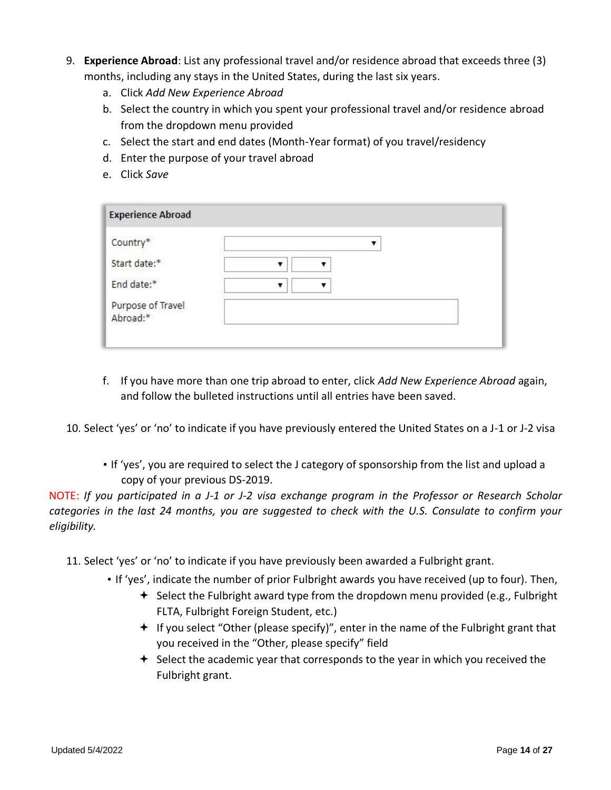- 9. **Experience Abroad**: List any professional travel and/or residence abroad that exceeds three (3) months, including any stays in the United States, during the last six years.
	- a. Click *Add New Experience Abroad*
	- b. Select the country in which you spent your professional travel and/or residence abroad from the dropdown menu provided
	- c. Select the start and end dates (Month-Year format) of you travel/residency
	- d. Enter the purpose of your travel abroad
	- e. Click *Save*

| <b>Experience Abroad</b>      |  |
|-------------------------------|--|
| Country*                      |  |
| Start date:*                  |  |
| End date:*                    |  |
| Purpose of Travel<br>Abroad:* |  |

- f. If you have more than one trip abroad to enter, click *Add New Experience Abroad* again, and follow the bulleted instructions until all entries have been saved.
- 10. Select 'yes' or 'no' to indicate if you have previously entered the United States on a J-1 or J-2 visa
	- If 'yes', you are required to select the J category of sponsorship from the list and upload a copy of your previous DS-2019.

NOTE: *If you participated in a J-1 or J-2 visa exchange program in the Professor or Research Scholar categories in the last 24 months, you are suggested to check with the U.S. Consulate to confirm your eligibility.* 

- 11. Select 'yes' or 'no' to indicate if you have previously been awarded a Fulbright grant.
	- If 'yes', indicate the number of prior Fulbright awards you have received (up to four). Then,
		- $\triangleq$  Select the Fulbright award type from the dropdown menu provided (e.g., Fulbright FLTA, Fulbright Foreign Student, etc.)
		- $+$  If you select "Other (please specify)", enter in the name of the Fulbright grant that you received in the "Other, please specify" field
		- $\triangleq$  Select the academic year that corresponds to the year in which you received the Fulbright grant.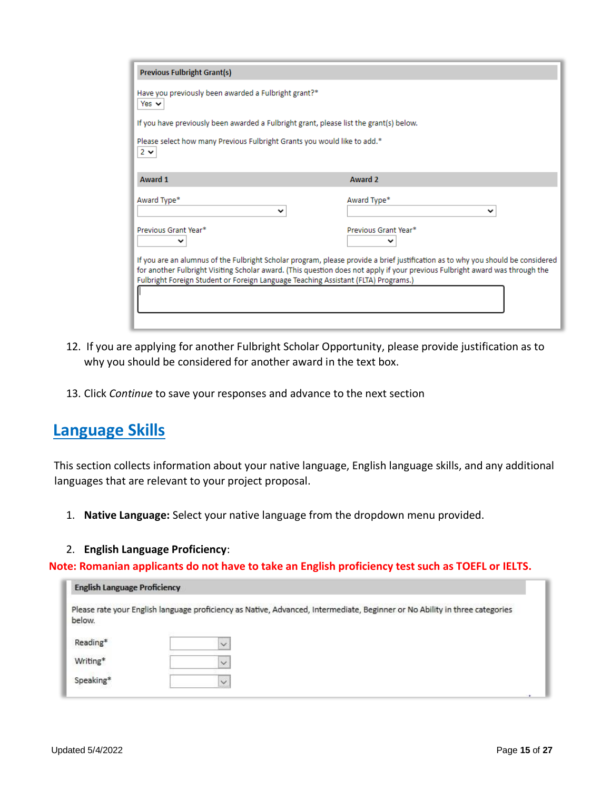| If you have previously been awarded a Fulbright grant, please list the grant(s) below.                                                                                                                                                                                                                                                                |
|-------------------------------------------------------------------------------------------------------------------------------------------------------------------------------------------------------------------------------------------------------------------------------------------------------------------------------------------------------|
| Please select how many Previous Fulbright Grants you would like to add.*                                                                                                                                                                                                                                                                              |
| Award 2                                                                                                                                                                                                                                                                                                                                               |
| Award Type*<br>v                                                                                                                                                                                                                                                                                                                                      |
| Previous Grant Year*                                                                                                                                                                                                                                                                                                                                  |
|                                                                                                                                                                                                                                                                                                                                                       |
| If you are an alumnus of the Fulbright Scholar program, please provide a brief justification as to why you should be considered<br>for another Fulbright Visiting Scholar award. (This question does not apply if your previous Fulbright award was through the<br>Fulbright Foreign Student or Foreign Language Teaching Assistant (FLTA) Programs.) |
|                                                                                                                                                                                                                                                                                                                                                       |

- 12. If you are applying for another Fulbright Scholar Opportunity, please provide justification as to why you should be considered for another award in the text box.
- 13. Click *Continue* to save your responses and advance to the next section

### <span id="page-14-0"></span>**Language Skills**

This section collects information about your native language, English language skills, and any additional languages that are relevant to your project proposal.

- 1. **Native Language:** Select your native language from the dropdown menu provided.
- 2. **English Language Proficiency**:

**Note: Romanian applicants do not have to take an English proficiency test such as TOEFL or IELTS.**

| <b>English Language Proficiency</b> |                                                                                                                             |
|-------------------------------------|-----------------------------------------------------------------------------------------------------------------------------|
| below.                              | Please rate your English language proficiency as Native, Advanced, Intermediate, Beginner or No Ability in three categories |
| Reading*                            | $\sim$                                                                                                                      |
| Writing*                            | $\checkmark$                                                                                                                |
| Speaking*                           |                                                                                                                             |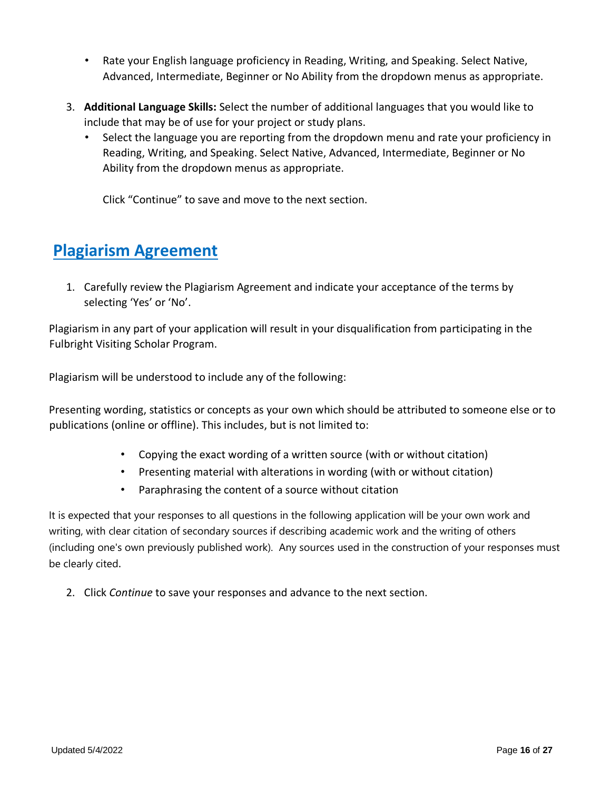- Rate your English language proficiency in Reading, Writing, and Speaking. Select Native, Advanced, Intermediate, Beginner or No Ability from the dropdown menus as appropriate.
- 3. **Additional Language Skills:** Select the number of additional languages that you would like to include that may be of use for your project or study plans.
	- Select the language you are reporting from the dropdown menu and rate your proficiency in Reading, Writing, and Speaking. Select Native, Advanced, Intermediate, Beginner or No Ability from the dropdown menus as appropriate.

Click "Continue" to save and move to the next section.

# <span id="page-15-0"></span>**Plagiarism Agreement**

1. Carefully review the Plagiarism Agreement and indicate your acceptance of the terms by selecting 'Yes' or 'No'.

Plagiarism in any part of your application will result in your disqualification from participating in the Fulbright Visiting Scholar Program.

Plagiarism will be understood to include any of the following:

Presenting wording, statistics or concepts as your own which should be attributed to someone else or to publications (online or offline). This includes, but is not limited to:

- Copying the exact wording of a written source (with or without citation)
- Presenting material with alterations in wording (with or without citation)
- Paraphrasing the content of a source without citation

It is expected that your responses to all questions in the following application will be your own work and writing, with clear citation of secondary sources if describing academic work and the writing of others (including one's own previously published work). Any sources used in the construction of your responses must be clearly cited.

2. Click *Continue* to save your responses and advance to the next section.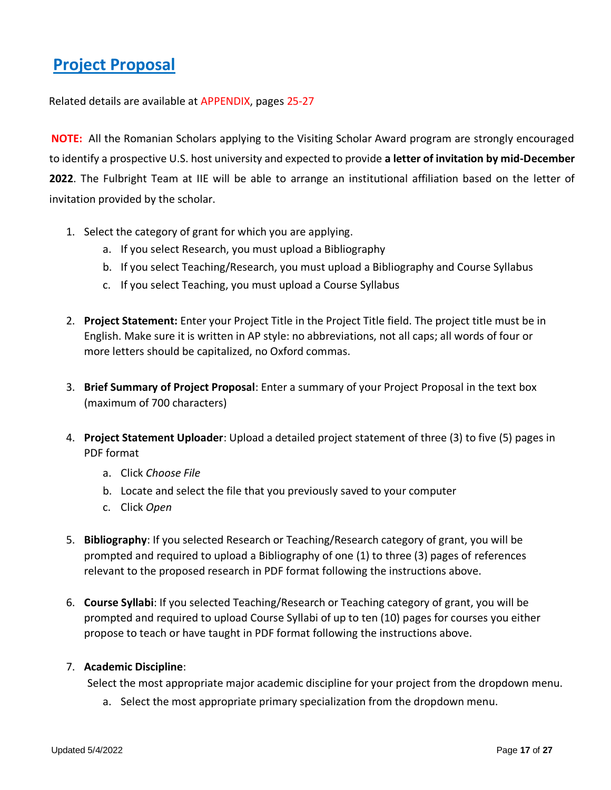## <span id="page-16-0"></span>**Project Proposal**

Related details are available at APPENDIX, pages 25-27

**NOTE:** All the Romanian Scholars applying to the Visiting Scholar Award program are strongly encouraged to identify a prospective U.S. host university and expected to provide **a letter of invitation by mid-December 2022**. The Fulbright Team at IIE will be able to arrange an institutional affiliation based on the letter of invitation provided by the scholar.

- 1. Select the category of grant for which you are applying.
	- a. If you select Research, you must upload a Bibliography
	- b. If you select Teaching/Research, you must upload a Bibliography and Course Syllabus
	- c. If you select Teaching, you must upload a Course Syllabus
- 2. **Project Statement:** Enter your Project Title in the Project Title field. The project title must be in English. Make sure it is written in AP style: no abbreviations, not all caps; all words of four or more letters should be capitalized, no Oxford commas.
- 3. **Brief Summary of Project Proposal**: Enter a summary of your Project Proposal in the text box (maximum of 700 characters)
- 4. **Project Statement Uploader**: Upload a detailed project statement of three (3) to five (5) pages in PDF format
	- a. Click *Choose File*
	- b. Locate and select the file that you previously saved to your computer
	- c. Click *Open*
- 5. **Bibliography**: If you selected Research or Teaching/Research category of grant, you will be prompted and required to upload a Bibliography of one (1) to three (3) pages of references relevant to the proposed research in PDF format following the instructions above.
- 6. **Course Syllabi**: If you selected Teaching/Research or Teaching category of grant, you will be prompted and required to upload Course Syllabi of up to ten (10) pages for courses you either propose to teach or have taught in PDF format following the instructions above.

### 7. **Academic Discipline**:

Select the most appropriate major academic discipline for your project from the dropdown menu.

a. Select the most appropriate primary specialization from the dropdown menu.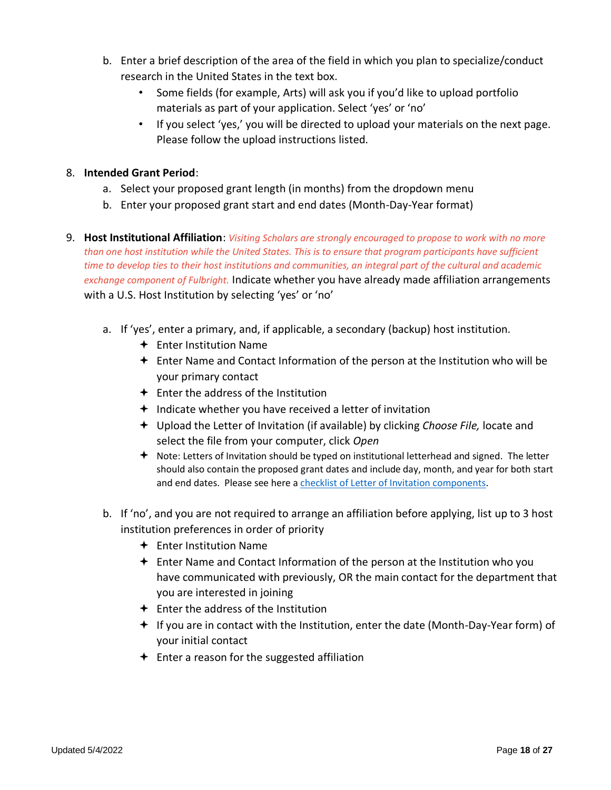- b. Enter a brief description of the area of the field in which you plan to specialize/conduct research in the United States in the text box.
	- Some fields (for example, Arts) will ask you if you'd like to upload portfolio materials as part of your application. Select 'yes' or 'no'
	- If you select 'yes,' you will be directed to upload your materials on the next page. Please follow the upload instructions listed.

### 8. **Intended Grant Period**:

- a. Select your proposed grant length (in months) from the dropdown menu
- b. Enter your proposed grant start and end dates (Month-Day-Year format)
- 9. **Host Institutional Affiliation**: *Visiting Scholars are strongly encouraged to propose to work with no more than one host institution while the United States. This is to ensure that program participants have sufficient time to develop ties to their host institutions and communities, an integral part of the cultural and academic exchange component of Fulbright.* Indicate whether you have already made affiliation arrangements with a U.S. Host Institution by selecting 'yes' or 'no'
	- a. If 'yes', enter a primary, and, if applicable, a secondary (backup) host institution.
		- $\div$  Enter Institution Name
		- $\div$  Enter Name and Contact Information of the person at the Institution who will be your primary contact
		- $\triangleq$  Enter the address of the Institution
		- $+$  Indicate whether you have received a letter of invitation
		- Upload the Letter of Invitation (if available) by clicking *Choose File,* locate and select the file from your computer, click *Open*
		- $\triangleq$  Note: Letters of Invitation should be typed on institutional letterhead and signed. The letter should also contain the proposed grant dates and include day, month, and year for both start and end dates. Please see here a [checklist of Letter of Invitation components.](https://apply.iie.org/www/documents/Fulbright%20Visiting%20Scholar%20Institutional%20Letter%20of%20Invitation%20Checklist.pdf)
	- b. If 'no', and you are not required to arrange an affiliation before applying, list up to 3 host institution preferences in order of priority
		- $\div$  Enter Institution Name
		- $\triangleq$  Enter Name and Contact Information of the person at the Institution who you have communicated with previously, OR the main contact for the department that you are interested in joining
		- $\triangleq$  Enter the address of the Institution
		- If you are in contact with the Institution, enter the date (Month-Day-Year form) of your initial contact
		- $\div$  Enter a reason for the suggested affiliation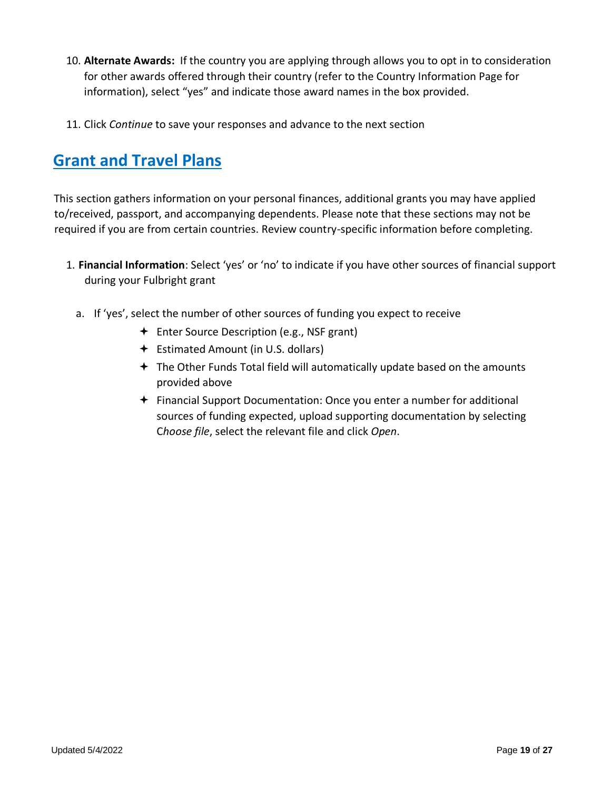- 10. **Alternate Awards:** If the country you are applying through allows you to opt in to consideration for other awards offered through their country (refer to the Country Information Page for information), select "yes" and indicate those award names in the box provided.
- 11. Click *Continue* to save your responses and advance to the next section

## <span id="page-18-0"></span>**Grant and Travel Plans**

This section gathers information on your personal finances, additional grants you may have applied to/received, passport, and accompanying dependents. Please note that these sections may not be required if you are from certain countries. Review country-specific information before completing.

- 1. **Financial Information**: Select 'yes' or 'no' to indicate if you have other sources of financial support during your Fulbright grant
	- a. If 'yes', select the number of other sources of funding you expect to receive
		- **←** Enter Source Description (e.g., NSF grant)
		- Estimated Amount (in U.S. dollars)
		- The Other Funds Total field will automatically update based on the amounts provided above
		- $\div$  Financial Support Documentation: Once you enter a number for additional sources of funding expected, upload supporting documentation by selecting C*hoose file*, select the relevant file and click *Open*.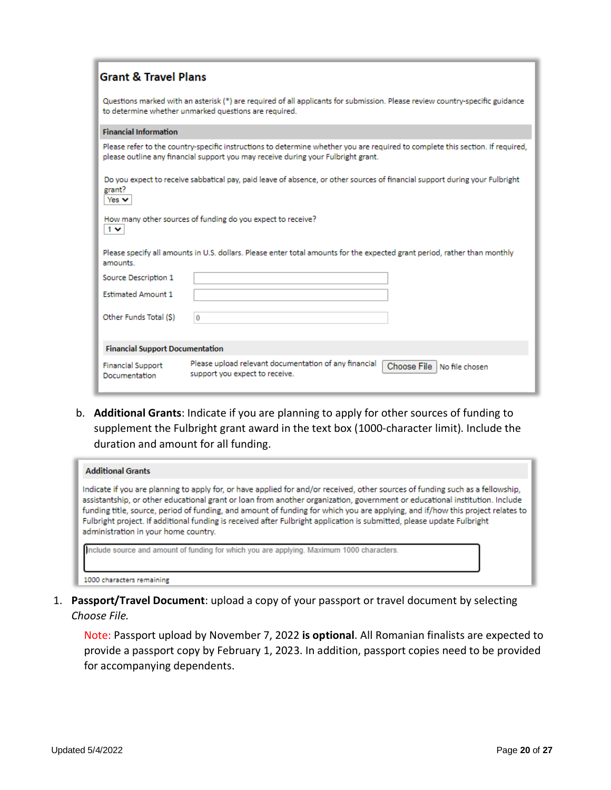| <b>Grant &amp; Travel Plans</b>           |                                                                                                                                                                                                                     |
|-------------------------------------------|---------------------------------------------------------------------------------------------------------------------------------------------------------------------------------------------------------------------|
|                                           | Questions marked with an asterisk (*) are required of all applicants for submission. Please review country-specific guidance<br>to determine whether unmarked questions are required.                               |
| <b>Financial Information</b>              |                                                                                                                                                                                                                     |
|                                           | Please refer to the country-specific instructions to determine whether you are required to complete this section. If required,<br>please outline any financial support you may receive during your Fulbright grant. |
| grant?<br>Yes $\vee$                      | Do you expect to receive sabbatical pay, paid leave of absence, or other sources of financial support during your Fulbright                                                                                         |
| $1 \vee$                                  | How many other sources of funding do you expect to receive?                                                                                                                                                         |
| amounts.                                  | Please specify all amounts in U.S. dollars. Please enter total amounts for the expected grant period, rather than monthly                                                                                           |
| Source Description 1                      |                                                                                                                                                                                                                     |
| <b>Estimated Amount 1</b>                 |                                                                                                                                                                                                                     |
| Other Funds Total (S)                     | $\bf{0}$                                                                                                                                                                                                            |
| <b>Financial Support Documentation</b>    |                                                                                                                                                                                                                     |
| <b>Financial Support</b><br>Documentation | Please upload relevant documentation of any financial<br>Choose File   No file chosen<br>support you expect to receive.                                                                                             |

b. **Additional Grants**: Indicate if you are planning to apply for other sources of funding to supplement the Fulbright grant award in the text box (1000-character limit). Include the duration and amount for all funding.

| <b>Additional Grants</b>                                                                                                                                                                                                                                                                                                                                                                                                                                                                                                                                          |
|-------------------------------------------------------------------------------------------------------------------------------------------------------------------------------------------------------------------------------------------------------------------------------------------------------------------------------------------------------------------------------------------------------------------------------------------------------------------------------------------------------------------------------------------------------------------|
| Indicate if you are planning to apply for, or have applied for and/or received, other sources of funding such as a fellowship,<br>assistantship, or other educational grant or loan from another organization, government or educational institution. Include<br>funding title, source, period of funding, and amount of funding for which you are applying, and if/how this project relates to<br>Fulbright project. If additional funding is received after Fulbright application is submitted, please update Fulbright<br>administration in your home country. |
| Include source and amount of funding for which you are applying. Maximum 1000 characters.<br>1000 characters remaining.                                                                                                                                                                                                                                                                                                                                                                                                                                           |

1. **Passport/Travel Document**: upload a copy of your passport or travel document by selecting *Choose File.*

Note: Passport upload by November 7, 2022 **is optional**. All Romanian finalists are expected to provide a passport copy by February 1, 2023. In addition, passport copies need to be provided for accompanying dependents.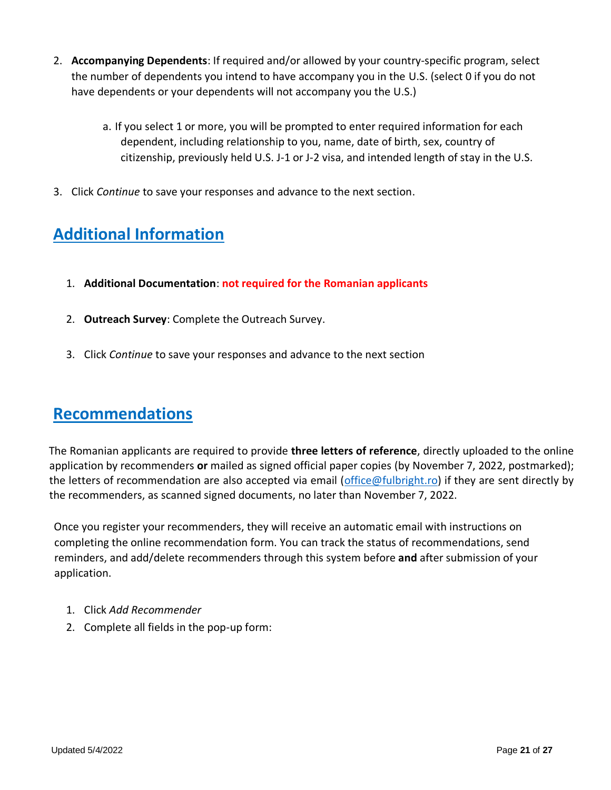- 2. **Accompanying Dependents**: If required and/or allowed by your country-specific program, select the number of dependents you intend to have accompany you in the U.S. (select 0 if you do not have dependents or your dependents will not accompany you the U.S.)
	- a. If you select 1 or more, you will be prompted to enter required information for each dependent, including relationship to you, name, date of birth, sex, country of citizenship, previously held U.S. J-1 or J-2 visa, and intended length of stay in the U.S.
- 3. Click *Continue* to save your responses and advance to the next section.

# <span id="page-20-0"></span>**Additional Information**

- 1. **Additional Documentation**: **not required for the Romanian applicants**
- 2. **Outreach Survey**: Complete the Outreach Survey.
- 3. Click *Continue* to save your responses and advance to the next section

### <span id="page-20-1"></span>**Recommendations**

The Romanian applicants are required to provide **three letters of reference**, directly uploaded to the online application by recommenders **or** mailed as signed official paper copies (by November 7, 2022, postmarked); the letters of recommendation are also accepted via email [\(office@fulbright.ro\)](mailto:office@fulbright.ro) if they are sent directly by the recommenders, as scanned signed documents, no later than November 7, 2022.

Once you register your recommenders, they will receive an automatic email with instructions on completing the online recommendation form. You can track the status of recommendations, send reminders, and add/delete recommenders through this system before **and** after submission of your application.

- 1. Click *Add Recommender*
- 2. Complete all fields in the pop-up form: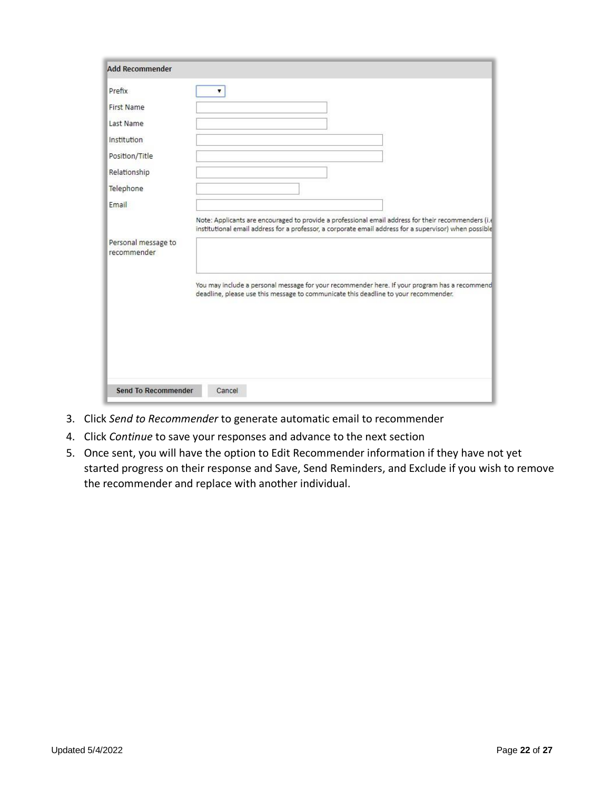| <b>First Name</b>                  |  |                                                                                                                                                                                                               |  |
|------------------------------------|--|---------------------------------------------------------------------------------------------------------------------------------------------------------------------------------------------------------------|--|
| Last Name                          |  |                                                                                                                                                                                                               |  |
| Institution                        |  |                                                                                                                                                                                                               |  |
| Position/Title                     |  |                                                                                                                                                                                                               |  |
| Relationship                       |  |                                                                                                                                                                                                               |  |
| Telephone                          |  |                                                                                                                                                                                                               |  |
| Email                              |  |                                                                                                                                                                                                               |  |
|                                    |  | Note: Applicants are encouraged to provide a professional email address for their recommenders (i.e<br>institutional email address for a professor, a corporate email address for a supervisor) when possible |  |
| Personal message to<br>recommender |  |                                                                                                                                                                                                               |  |
|                                    |  | You may include a personal message for your recommender here. If your program has a recommend<br>deadline, please use this message to communicate this deadline to your recommender.                          |  |
|                                    |  |                                                                                                                                                                                                               |  |

- 3. Click *Send to Recommender* to generate automatic email to recommender
- 4. Click *Continue* to save your responses and advance to the next section
- 5. Once sent, you will have the option to Edit Recommender information if they have not yet started progress on their response and Save, Send Reminders, and Exclude if you wish to remove the recommender and replace with another individual.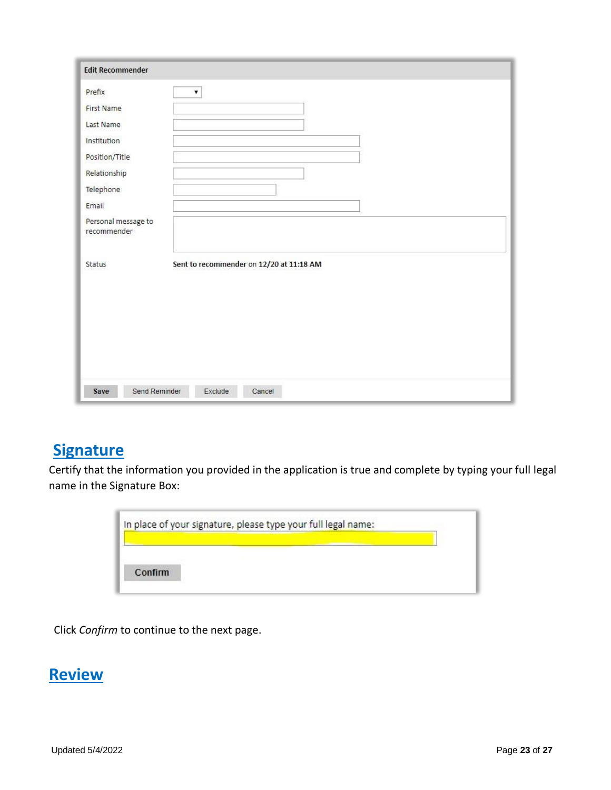| <b>Edit Recommender</b>            |                                          |
|------------------------------------|------------------------------------------|
| Prefix                             | ▼                                        |
| <b>First Name</b>                  |                                          |
| Last Name                          |                                          |
| Institution                        |                                          |
| Position/Title                     |                                          |
| Relationship                       |                                          |
| Telephone                          |                                          |
| Email                              |                                          |
| Personal message to<br>recommender |                                          |
| Status                             | Sent to recommender on 12/20 at 11:18 AM |
| Send Reminder<br>Save              | Exclude<br>Cancel                        |

# <span id="page-22-0"></span>**Signature**

Certify that the information you provided in the application is true and complete by typing your full legal name in the Signature Box:

| In place of your signature, please type your full legal name: |  |  |
|---------------------------------------------------------------|--|--|
|                                                               |  |  |
| Confirm                                                       |  |  |

Click *Confirm* to continue to the next page.

### <span id="page-22-1"></span>**Review**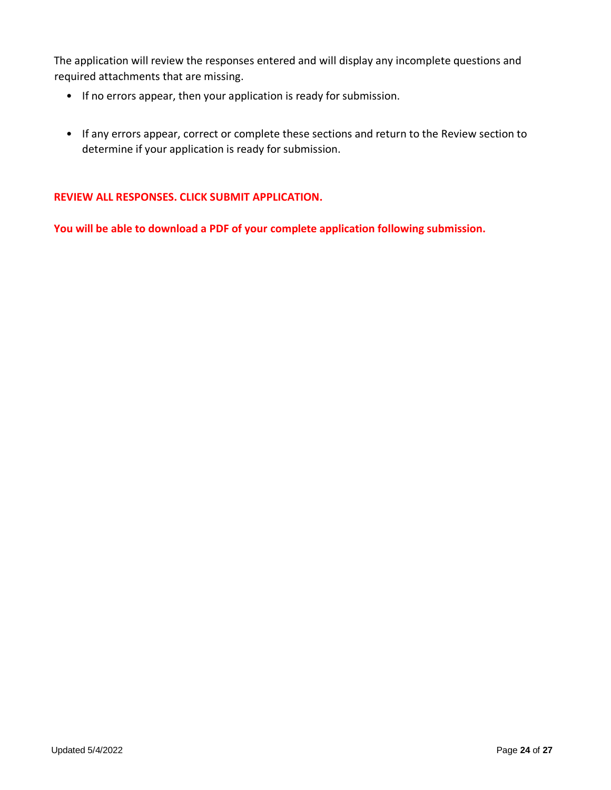The application will review the responses entered and will display any incomplete questions and required attachments that are missing.

- If no errors appear, then your application is ready for submission.
- If any errors appear, correct or complete these sections and return to the Review section to determine if your application is ready for submission.

### **REVIEW ALL RESPONSES. CLICK SUBMIT APPLICATION.**

**You will be able to download a PDF of your complete application following submission.**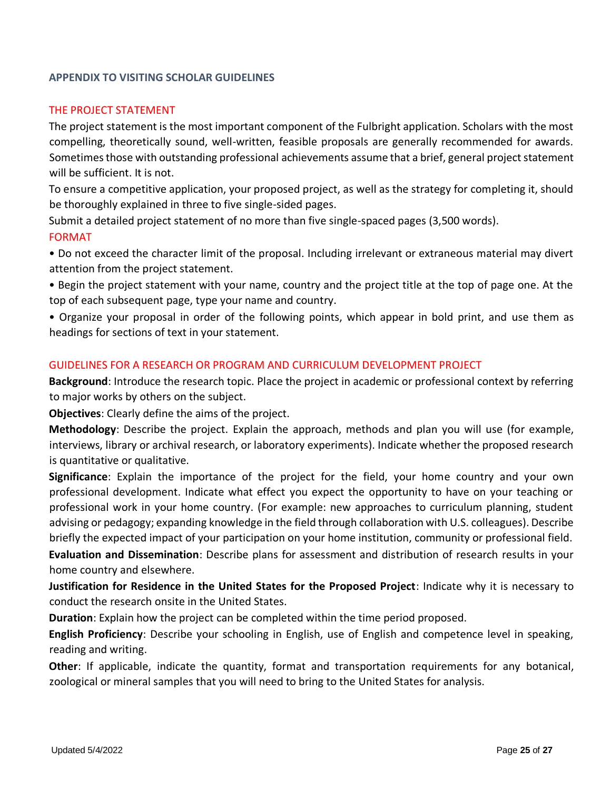### **APPENDIX TO VISITING SCHOLAR GUIDELINES**

#### THE PROJECT STATEMENT

The project statement is the most important component of the Fulbright application. Scholars with the most compelling, theoretically sound, well-written, feasible proposals are generally recommended for awards. Sometimes those with outstanding professional achievements assume that a brief, general project statement will be sufficient. It is not.

To ensure a competitive application, your proposed project, as well as the strategy for completing it, should be thoroughly explained in three to five single-sided pages.

Submit a detailed project statement of no more than five single-spaced pages (3,500 words). FORMAT

• Do not exceed the character limit of the proposal. Including irrelevant or extraneous material may divert attention from the project statement.

• Begin the project statement with your name, country and the project title at the top of page one. At the top of each subsequent page, type your name and country.

• Organize your proposal in order of the following points, which appear in bold print, and use them as headings for sections of text in your statement.

#### GUIDELINES FOR A RESEARCH OR PROGRAM AND CURRICULUM DEVELOPMENT PROJECT

**Background**: Introduce the research topic. Place the project in academic or professional context by referring to major works by others on the subject.

**Objectives**: Clearly define the aims of the project.

**Methodology**: Describe the project. Explain the approach, methods and plan you will use (for example, interviews, library or archival research, or laboratory experiments). Indicate whether the proposed research is quantitative or qualitative.

**Significance**: Explain the importance of the project for the field, your home country and your own professional development. Indicate what effect you expect the opportunity to have on your teaching or professional work in your home country. (For example: new approaches to curriculum planning, student advising or pedagogy; expanding knowledge in the field through collaboration with U.S. colleagues). Describe briefly the expected impact of your participation on your home institution, community or professional field.

**Evaluation and Dissemination**: Describe plans for assessment and distribution of research results in your home country and elsewhere.

**Justification for Residence in the United States for the Proposed Project**: Indicate why it is necessary to conduct the research onsite in the United States.

**Duration**: Explain how the project can be completed within the time period proposed.

**English Proficiency**: Describe your schooling in English, use of English and competence level in speaking, reading and writing.

**Other**: If applicable, indicate the quantity, format and transportation requirements for any botanical, zoological or mineral samples that you will need to bring to the United States for analysis.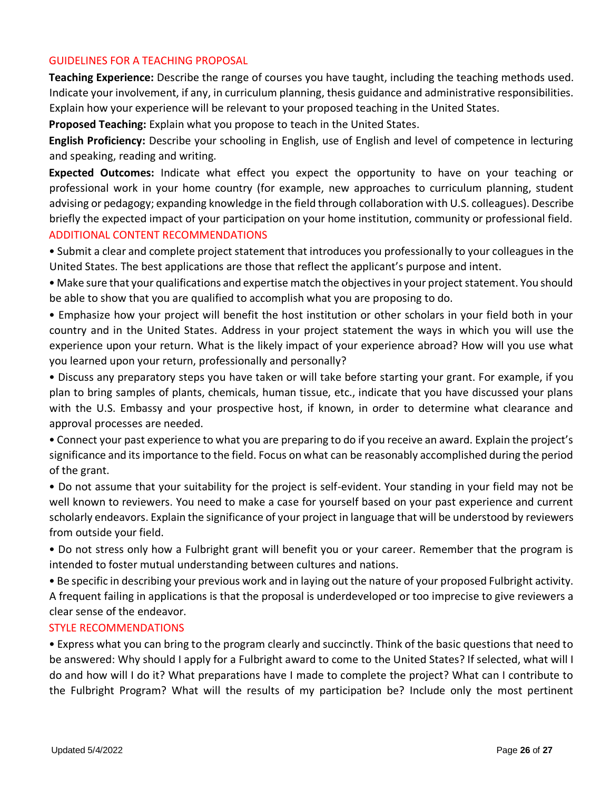### GUIDELINES FOR A TEACHING PROPOSAL

**Teaching Experience:** Describe the range of courses you have taught, including the teaching methods used. Indicate your involvement, if any, in curriculum planning, thesis guidance and administrative responsibilities. Explain how your experience will be relevant to your proposed teaching in the United States.

**Proposed Teaching:** Explain what you propose to teach in the United States.

**English Proficiency:** Describe your schooling in English, use of English and level of competence in lecturing and speaking, reading and writing.

**Expected Outcomes:** Indicate what effect you expect the opportunity to have on your teaching or professional work in your home country (for example, new approaches to curriculum planning, student advising or pedagogy; expanding knowledge in the field through collaboration with U.S. colleagues). Describe briefly the expected impact of your participation on your home institution, community or professional field. ADDITIONAL CONTENT RECOMMENDATIONS

• Submit a clear and complete project statement that introduces you professionally to your colleagues in the United States. The best applications are those that reflect the applicant's purpose and intent.

• Make sure that your qualifications and expertise match the objectives in your project statement. You should be able to show that you are qualified to accomplish what you are proposing to do.

• Emphasize how your project will benefit the host institution or other scholars in your field both in your country and in the United States. Address in your project statement the ways in which you will use the experience upon your return. What is the likely impact of your experience abroad? How will you use what you learned upon your return, professionally and personally?

• Discuss any preparatory steps you have taken or will take before starting your grant. For example, if you plan to bring samples of plants, chemicals, human tissue, etc., indicate that you have discussed your plans with the U.S. Embassy and your prospective host, if known, in order to determine what clearance and approval processes are needed.

• Connect your past experience to what you are preparing to do if you receive an award. Explain the project's significance and its importance to the field. Focus on what can be reasonably accomplished during the period of the grant.

• Do not assume that your suitability for the project is self-evident. Your standing in your field may not be well known to reviewers. You need to make a case for yourself based on your past experience and current scholarly endeavors. Explain the significance of your project in language that will be understood by reviewers from outside your field.

• Do not stress only how a Fulbright grant will benefit you or your career. Remember that the program is intended to foster mutual understanding between cultures and nations.

• Be specific in describing your previous work and in laying out the nature of your proposed Fulbright activity. A frequent failing in applications is that the proposal is underdeveloped or too imprecise to give reviewers a clear sense of the endeavor.

### STYLE RECOMMENDATIONS

• Express what you can bring to the program clearly and succinctly. Think of the basic questions that need to be answered: Why should I apply for a Fulbright award to come to the United States? If selected, what will I do and how will I do it? What preparations have I made to complete the project? What can I contribute to the Fulbright Program? What will the results of my participation be? Include only the most pertinent